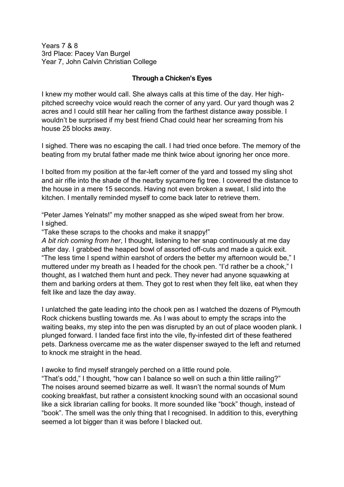Years 7 & 8 3rd Place: Pacey Van Burgel Year 7, John Calvin Christian College

## **Through a Chicken's Eyes**

I knew my mother would call. She always calls at this time of the day. Her highpitched screechy voice would reach the corner of any yard. Our yard though was 2 acres and I could still hear her calling from the farthest distance away possible. I wouldn't be surprised if my best friend Chad could hear her screaming from his house 25 blocks away.

I sighed. There was no escaping the call. I had tried once before. The memory of the beating from my brutal father made me think twice about ignoring her once more.

I bolted from my position at the far-left corner of the yard and tossed my sling shot and air rifle into the shade of the nearby sycamore fig tree. I covered the distance to the house in a mere 15 seconds. Having not even broken a sweat, I slid into the kitchen. I mentally reminded myself to come back later to retrieve them.

"Peter James Yelnats!" my mother snapped as she wiped sweat from her brow. I sighed.

"Take these scraps to the chooks and make it snappy!"

*A bit rich coming from her*, I thought, listening to her snap continuously at me day after day. I grabbed the heaped bowl of assorted off-cuts and made a quick exit. "The less time I spend within earshot of orders the better my afternoon would be," I muttered under my breath as I headed for the chook pen. "I'd rather be a chook," I thought, as I watched them hunt and peck. They never had anyone squawking at them and barking orders at them. They got to rest when they felt like, eat when they felt like and laze the day away.

I unlatched the gate leading into the chook pen as I watched the dozens of Plymouth Rock chickens bustling towards me. As I was about to empty the scraps into the waiting beaks, my step into the pen was disrupted by an out of place wooden plank. I plunged forward. I landed face first into the vile, fly-infested dirt of these feathered pets. Darkness overcame me as the water dispenser swayed to the left and returned to knock me straight in the head.

I awoke to find myself strangely perched on a little round pole.

"That's odd," I thought, "how can I balance so well on such a thin little railing?" The noises around seemed bizarre as well. It wasn't the normal sounds of Mum cooking breakfast, but rather a consistent knocking sound with an occasional sound like a sick librarian calling for books. It more sounded like "bock" though, instead of "book". The smell was the only thing that I recognised. In addition to this, everything seemed a lot bigger than it was before I blacked out.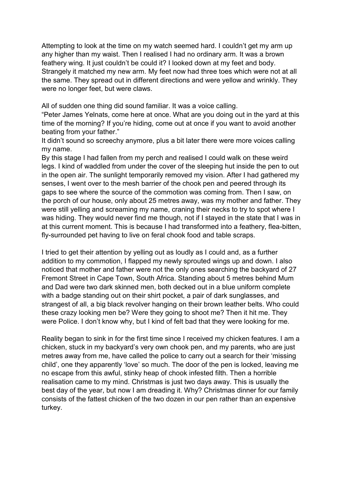Attempting to look at the time on my watch seemed hard. I couldn't get my arm up any higher than my waist. Then I realised I had no ordinary arm. It was a brown feathery wing. It just couldn't be could it? I looked down at my feet and body. Strangely it matched my new arm. My feet now had three toes which were not at all the same. They spread out in different directions and were yellow and wrinkly. They were no longer feet, but were claws.

All of sudden one thing did sound familiar. It was a voice calling.

"Peter James Yelnats, come here at once. What are you doing out in the yard at this time of the morning? If you're hiding, come out at once if you want to avoid another beating from your father."

It didn't sound so screechy anymore, plus a bit later there were more voices calling my name.

By this stage I had fallen from my perch and realised I could walk on these weird legs. I kind of waddled from under the cover of the sleeping hut inside the pen to out in the open air. The sunlight temporarily removed my vision. After I had gathered my senses, I went over to the mesh barrier of the chook pen and peered through its gaps to see where the source of the commotion was coming from. Then I saw, on the porch of our house, only about 25 metres away, was my mother and father. They were still yelling and screaming my name, craning their necks to try to spot where I was hiding. They would never find me though, not if I stayed in the state that I was in at this current moment. This is because I had transformed into a feathery, flea-bitten, fly-surrounded pet having to live on feral chook food and table scraps.

I tried to get their attention by yelling out as loudly as I could and, as a further addition to my commotion, I flapped my newly sprouted wings up and down. I also noticed that mother and father were not the only ones searching the backyard of 27 Fremont Street in Cape Town, South Africa. Standing about 5 metres behind Mum and Dad were two dark skinned men, both decked out in a blue uniform complete with a badge standing out on their shirt pocket, a pair of dark sunglasses, and strangest of all, a big black revolver hanging on their brown leather belts. Who could these crazy looking men be? Were they going to shoot me? Then it hit me. They were Police. I don't know why, but I kind of felt bad that they were looking for me.

Reality began to sink in for the first time since I received my chicken features. I am a chicken, stuck in my backyard's very own chook pen, and my parents, who are just metres away from me, have called the police to carry out a search for their 'missing child', one they apparently 'love' so much. The door of the pen is locked, leaving me no escape from this awful, stinky heap of chook infested filth. Then a horrible realisation came to my mind. Christmas is just two days away. This is usually the best day of the year, but now I am dreading it. Why? Christmas dinner for our family consists of the fattest chicken of the two dozen in our pen rather than an expensive turkey.